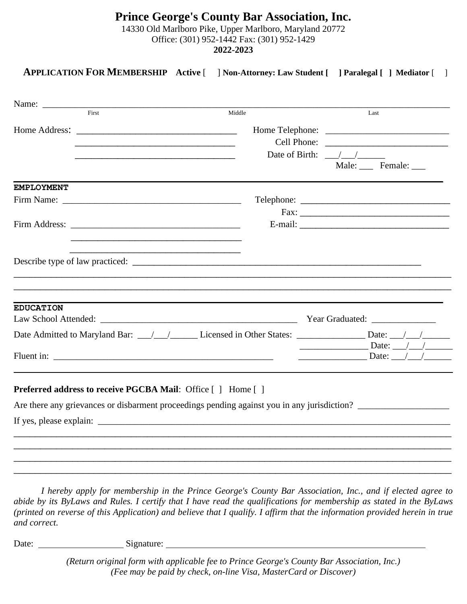### **Prince George's County Bar Association, Inc.** 14330 Old Marlboro Pike, Upper Marlboro, Maryland 20772 Office: (301) 952-1442 Fax: (301) 952-1429 **2022-2023**

## **APPLICATION FOR MEMBERSHIP Active** [ ] **Non-Attorney: Law Student [ ] Paralegal [ ] Mediator** [ ]

| Name:                                                                                                                  |        |                                                                                     |  |
|------------------------------------------------------------------------------------------------------------------------|--------|-------------------------------------------------------------------------------------|--|
| First                                                                                                                  | Middle | Last                                                                                |  |
|                                                                                                                        |        |                                                                                     |  |
| <u> 1989 - Johann John Harry Stein, mars and deutscher Stein and der Stein and deutscher Stein and der Stein and</u>   |        |                                                                                     |  |
| <u> 1989 - Johann John Stone, markin film yn y system yn y system yn y system yn y system yn y system yn y system</u>  |        | Date of Birth: $\frac{1}{2}$                                                        |  |
|                                                                                                                        |        | Male: ____ Female: ____                                                             |  |
| <b>EMPLOYMENT</b>                                                                                                      |        |                                                                                     |  |
|                                                                                                                        |        |                                                                                     |  |
|                                                                                                                        |        |                                                                                     |  |
|                                                                                                                        |        |                                                                                     |  |
| <u> 1980 - Johann John Harry Harry Harry Harry Harry Harry Harry Harry Harry Harry Harry Harry Harry Harry Harry H</u> |        |                                                                                     |  |
|                                                                                                                        |        |                                                                                     |  |
|                                                                                                                        |        |                                                                                     |  |
|                                                                                                                        |        |                                                                                     |  |
|                                                                                                                        |        |                                                                                     |  |
| <b>EDUCATION</b>                                                                                                       |        |                                                                                     |  |
|                                                                                                                        |        |                                                                                     |  |
|                                                                                                                        |        | $Date:$ $\angle$ /                                                                  |  |
|                                                                                                                        |        | $\frac{1}{\sqrt{1-\frac{1}{2}}}\Delta$ Date: $\frac{1}{\sqrt{1-\frac{1}{2}}}\Delta$ |  |
|                                                                                                                        |        |                                                                                     |  |
|                                                                                                                        |        |                                                                                     |  |
| <b>Preferred address to receive PGCBA Mail:</b> Office [] Home []                                                      |        |                                                                                     |  |
| Are there any grievances or disbarment proceedings pending against you in any jurisdiction?                            |        |                                                                                     |  |
|                                                                                                                        |        |                                                                                     |  |
|                                                                                                                        |        |                                                                                     |  |
|                                                                                                                        |        |                                                                                     |  |
|                                                                                                                        |        |                                                                                     |  |
|                                                                                                                        |        |                                                                                     |  |

*I hereby apply for membership in the Prince George's County Bar Association, Inc., and if elected agree to abide by its ByLaws and Rules. I certify that I have read the qualifications for membership as stated in the ByLaws (printed on reverse of this Application) and believe that I qualify. I affirm that the information provided herein in true and correct.*

Date: Signature: Signature: Signature: Signature: Signature: Signature: Signature: Signature: Signature: Signature: Signature: Signature: Signature: Signature: Signature: Signature: Signature: Signature: Signature: Signatu

*(Return original form with applicable fee to Prince George's County Bar Association, Inc.) (Fee may be paid by check, on-line Visa, MasterCard or Discover)*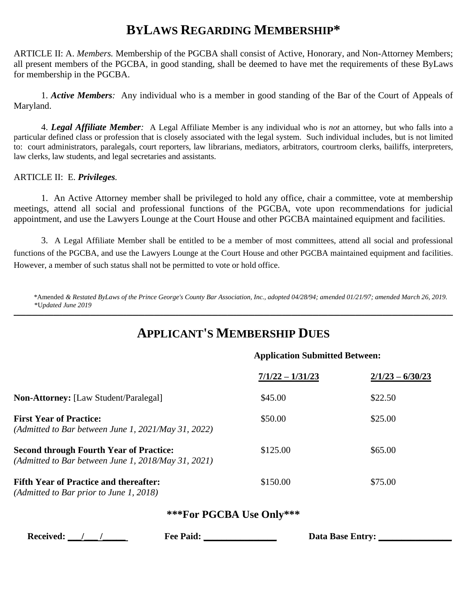## **BYLAWS REGARDING MEMBERSHIP\***

ARTICLE II: A. *Members.* Membership of the PGCBA shall consist of Active, Honorary, and Non-Attorney Members; all present members of the PGCBA, in good standing, shall be deemed to have met the requirements of these ByLaws for membership in the PGCBA.

1. *Active Members:* Any individual who is a member in good standing of the Bar of the Court of Appeals of Maryland.

4. *Legal Affiliate Member:* A Legal Affiliate Member is any individual who is *not* an attorney, but who falls into a particular defined class or profession that is closely associated with the legal system. Such individual includes, but is not limited to: court administrators, paralegals, court reporters, law librarians, mediators, arbitrators, courtroom clerks, bailiffs, interpreters, law clerks, law students, and legal secretaries and assistants.

#### ARTICLE II: E. *Privileges.*

1. An Active Attorney member shall be privileged to hold any office, chair a committee, vote at membership meetings, attend all social and professional functions of the PGCBA, vote upon recommendations for judicial appointment, and use the Lawyers Lounge at the Court House and other PGCBA maintained equipment and facilities.

3. A Legal Affiliate Member shall be entitled to be a member of most committees, attend all social and professional functions of the PGCBA, and use the Lawyers Lounge at the Court House and other PGCBA maintained equipment and facilities. However, a member of such status shall not be permitted to vote or hold office.

 *\**Amended *& Restated ByLaws of the Prince George's County Bar Association, Inc., adopted 04/28/94; amended 01/21/97; amended March 26, 2019.* \*U*pdated June 2019* **\_\_\_\_\_\_\_\_\_\_\_\_\_\_\_\_\_\_\_\_\_\_\_\_\_\_\_\_\_\_\_\_\_\_\_\_\_\_\_\_\_\_\_\_\_\_\_\_\_\_\_\_\_\_\_\_\_\_\_\_\_\_\_\_\_\_\_\_\_\_\_\_\_\_\_\_\_\_\_\_\_\_\_\_\_\_\_\_\_\_\_\_\_\_\_\_\_\_\_\_\_\_\_\_\_\_\_\_\_\_\_\_\_\_\_\_\_\_\_\_\_\_\_\_\_\_\_\_\_\_\_\_\_\_\_\_\_\_\_\_\_\_\_\_**

## **APPLICANT'S MEMBERSHIP DUES**

#### **Application Submitted Between:**

|                                                                                                       | $7/1/22 - 1/31/23$ | $2/1/23 - 6/30/23$ |
|-------------------------------------------------------------------------------------------------------|--------------------|--------------------|
| <b>Non-Attorney:</b> [Law Student/Paralegal]                                                          | \$45.00            | \$22.50            |
| <b>First Year of Practice:</b><br>(Admitted to Bar between June 1, $2021$ /May 31, 2022)              | \$50.00            | \$25.00            |
| <b>Second through Fourth Year of Practice:</b><br>(Admitted to Bar between June 1, 2018/May 31, 2021) | \$125.00           | \$65.00            |
| <b>Fifth Year of Practice and thereafter:</b><br>$(Admitted to Bar prior to June 1, 2018)$            | \$150.00           | \$75.00            |

#### **\*\*\*For PGCBA Use Only\*\*\***

 **Received: \_\_\_/\_\_\_ /\_\_\_\_\_ Fee Paid: \_\_\_\_\_\_\_\_\_\_\_\_\_\_\_\_ Data Base Entry: \_\_\_\_\_\_\_\_\_\_\_\_\_\_\_\_**